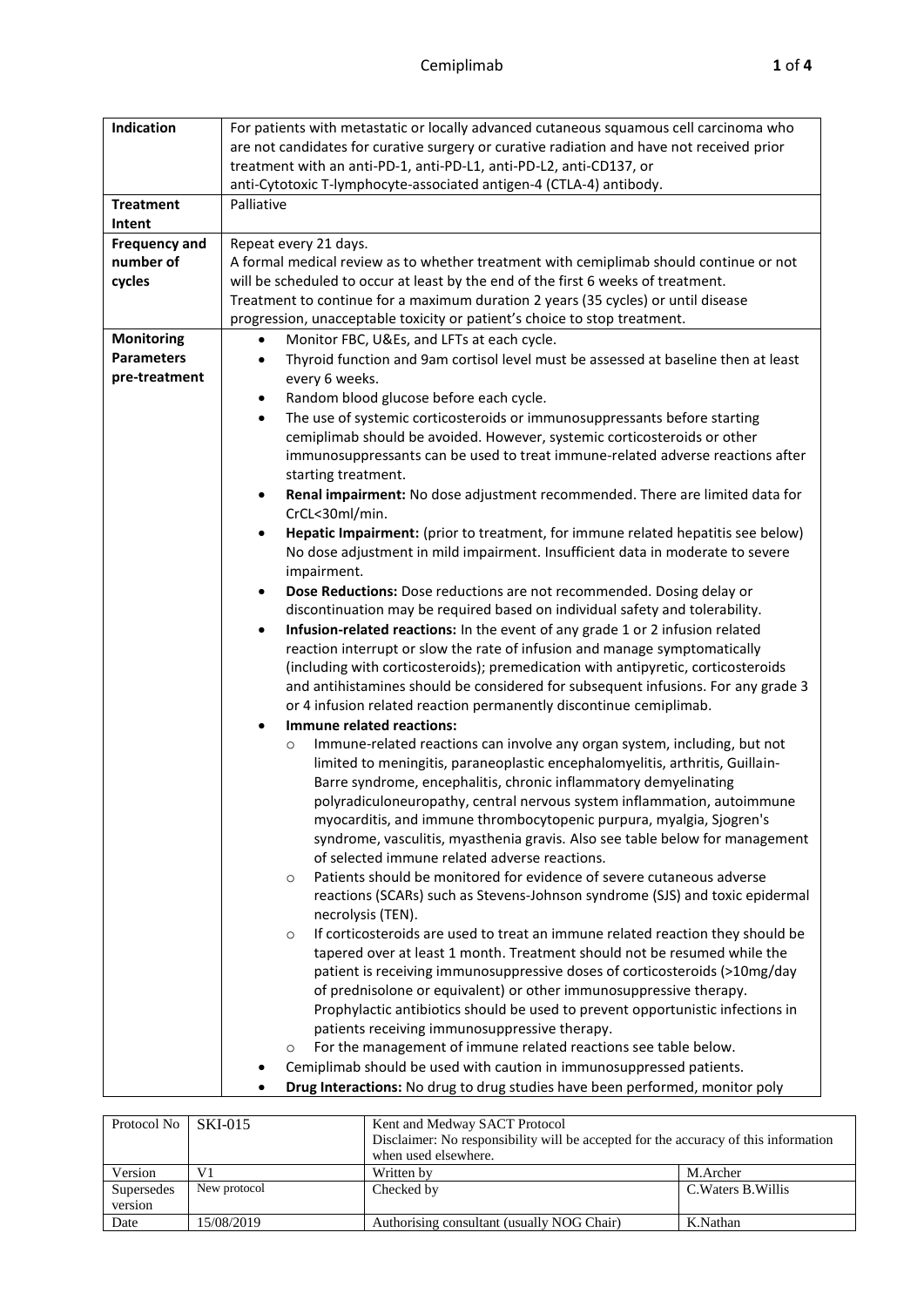| Indication                 | For patients with metastatic or locally advanced cutaneous squamous cell carcinoma who<br>are not candidates for curative surgery or curative radiation and have not received prior<br>treatment with an anti-PD-1, anti-PD-L1, anti-PD-L2, anti-CD137, or                                                                                                                                                                                                                                                                    |  |  |  |  |
|----------------------------|-------------------------------------------------------------------------------------------------------------------------------------------------------------------------------------------------------------------------------------------------------------------------------------------------------------------------------------------------------------------------------------------------------------------------------------------------------------------------------------------------------------------------------|--|--|--|--|
|                            | anti-Cytotoxic T-lymphocyte-associated antigen-4 (CTLA-4) antibody.                                                                                                                                                                                                                                                                                                                                                                                                                                                           |  |  |  |  |
| <b>Treatment</b><br>Intent | Palliative                                                                                                                                                                                                                                                                                                                                                                                                                                                                                                                    |  |  |  |  |
| <b>Frequency and</b>       | Repeat every 21 days.                                                                                                                                                                                                                                                                                                                                                                                                                                                                                                         |  |  |  |  |
| number of                  | A formal medical review as to whether treatment with cemiplimab should continue or not                                                                                                                                                                                                                                                                                                                                                                                                                                        |  |  |  |  |
| cycles                     | will be scheduled to occur at least by the end of the first 6 weeks of treatment.                                                                                                                                                                                                                                                                                                                                                                                                                                             |  |  |  |  |
|                            | Treatment to continue for a maximum duration 2 years (35 cycles) or until disease                                                                                                                                                                                                                                                                                                                                                                                                                                             |  |  |  |  |
|                            | progression, unacceptable toxicity or patient's choice to stop treatment.                                                                                                                                                                                                                                                                                                                                                                                                                                                     |  |  |  |  |
| <b>Monitoring</b>          | Monitor FBC, U&Es, and LFTs at each cycle.<br>٠                                                                                                                                                                                                                                                                                                                                                                                                                                                                               |  |  |  |  |
| <b>Parameters</b>          | Thyroid function and 9am cortisol level must be assessed at baseline then at least<br>٠                                                                                                                                                                                                                                                                                                                                                                                                                                       |  |  |  |  |
| pre-treatment              | every 6 weeks.                                                                                                                                                                                                                                                                                                                                                                                                                                                                                                                |  |  |  |  |
|                            | Random blood glucose before each cycle.<br>٠                                                                                                                                                                                                                                                                                                                                                                                                                                                                                  |  |  |  |  |
|                            | The use of systemic corticosteroids or immunosuppressants before starting<br>$\bullet$<br>cemiplimab should be avoided. However, systemic corticosteroids or other<br>immunosuppressants can be used to treat immune-related adverse reactions after<br>starting treatment.                                                                                                                                                                                                                                                   |  |  |  |  |
|                            | Renal impairment: No dose adjustment recommended. There are limited data for<br>$\bullet$<br>CrCL<30ml/min.                                                                                                                                                                                                                                                                                                                                                                                                                   |  |  |  |  |
|                            | Hepatic Impairment: (prior to treatment, for immune related hepatitis see below)<br>٠<br>No dose adjustment in mild impairment. Insufficient data in moderate to severe<br>impairment.                                                                                                                                                                                                                                                                                                                                        |  |  |  |  |
|                            | Dose Reductions: Dose reductions are not recommended. Dosing delay or<br>٠                                                                                                                                                                                                                                                                                                                                                                                                                                                    |  |  |  |  |
|                            | discontinuation may be required based on individual safety and tolerability.                                                                                                                                                                                                                                                                                                                                                                                                                                                  |  |  |  |  |
|                            | Infusion-related reactions: In the event of any grade 1 or 2 infusion related<br>$\bullet$                                                                                                                                                                                                                                                                                                                                                                                                                                    |  |  |  |  |
|                            | reaction interrupt or slow the rate of infusion and manage symptomatically                                                                                                                                                                                                                                                                                                                                                                                                                                                    |  |  |  |  |
|                            | (including with corticosteroids); premedication with antipyretic, corticosteroids                                                                                                                                                                                                                                                                                                                                                                                                                                             |  |  |  |  |
|                            | and antihistamines should be considered for subsequent infusions. For any grade 3                                                                                                                                                                                                                                                                                                                                                                                                                                             |  |  |  |  |
|                            | or 4 infusion related reaction permanently discontinue cemiplimab.                                                                                                                                                                                                                                                                                                                                                                                                                                                            |  |  |  |  |
|                            | Immune related reactions:<br>$\bullet$                                                                                                                                                                                                                                                                                                                                                                                                                                                                                        |  |  |  |  |
|                            | Immune-related reactions can involve any organ system, including, but not<br>$\circ$<br>limited to meningitis, paraneoplastic encephalomyelitis, arthritis, Guillain-<br>Barre syndrome, encephalitis, chronic inflammatory demyelinating<br>polyradiculoneuropathy, central nervous system inflammation, autoimmune<br>myocarditis, and immune thrombocytopenic purpura, myalgia, Sjogren's<br>syndrome, vasculitis, myasthenia gravis. Also see table below for management<br>of selected immune related adverse reactions. |  |  |  |  |
|                            | Patients should be monitored for evidence of severe cutaneous adverse<br>$\circ$<br>reactions (SCARs) such as Stevens-Johnson syndrome (SJS) and toxic epidermal<br>necrolysis (TEN).                                                                                                                                                                                                                                                                                                                                         |  |  |  |  |
|                            | If corticosteroids are used to treat an immune related reaction they should be<br>$\circ$<br>tapered over at least 1 month. Treatment should not be resumed while the<br>patient is receiving immunosuppressive doses of corticosteroids (>10mg/day<br>of prednisolone or equivalent) or other immunosuppressive therapy.<br>Prophylactic antibiotics should be used to prevent opportunistic infections in<br>patients receiving immunosuppressive therapy.                                                                  |  |  |  |  |
|                            | For the management of immune related reactions see table below.<br>$\circ$                                                                                                                                                                                                                                                                                                                                                                                                                                                    |  |  |  |  |
|                            | Cemiplimab should be used with caution in immunosuppressed patients.                                                                                                                                                                                                                                                                                                                                                                                                                                                          |  |  |  |  |
|                            | Drug Interactions: No drug to drug studies have been performed, monitor poly                                                                                                                                                                                                                                                                                                                                                                                                                                                  |  |  |  |  |

| Protocol No           | <b>SKI-015</b> | Kent and Medway SACT Protocol<br>Disclaimer: No responsibility will be accepted for the accuracy of this information<br>when used elsewhere. |                     |  |  |
|-----------------------|----------------|----------------------------------------------------------------------------------------------------------------------------------------------|---------------------|--|--|
| Version               | V <sub>1</sub> | M.Archer<br>Written by                                                                                                                       |                     |  |  |
| Supersedes<br>version | New protocol   | Checked by                                                                                                                                   | C. Waters B. Willis |  |  |
| Date                  | 15/08/2019     | Authorising consultant (usually NOG Chair)<br>K.Nathan                                                                                       |                     |  |  |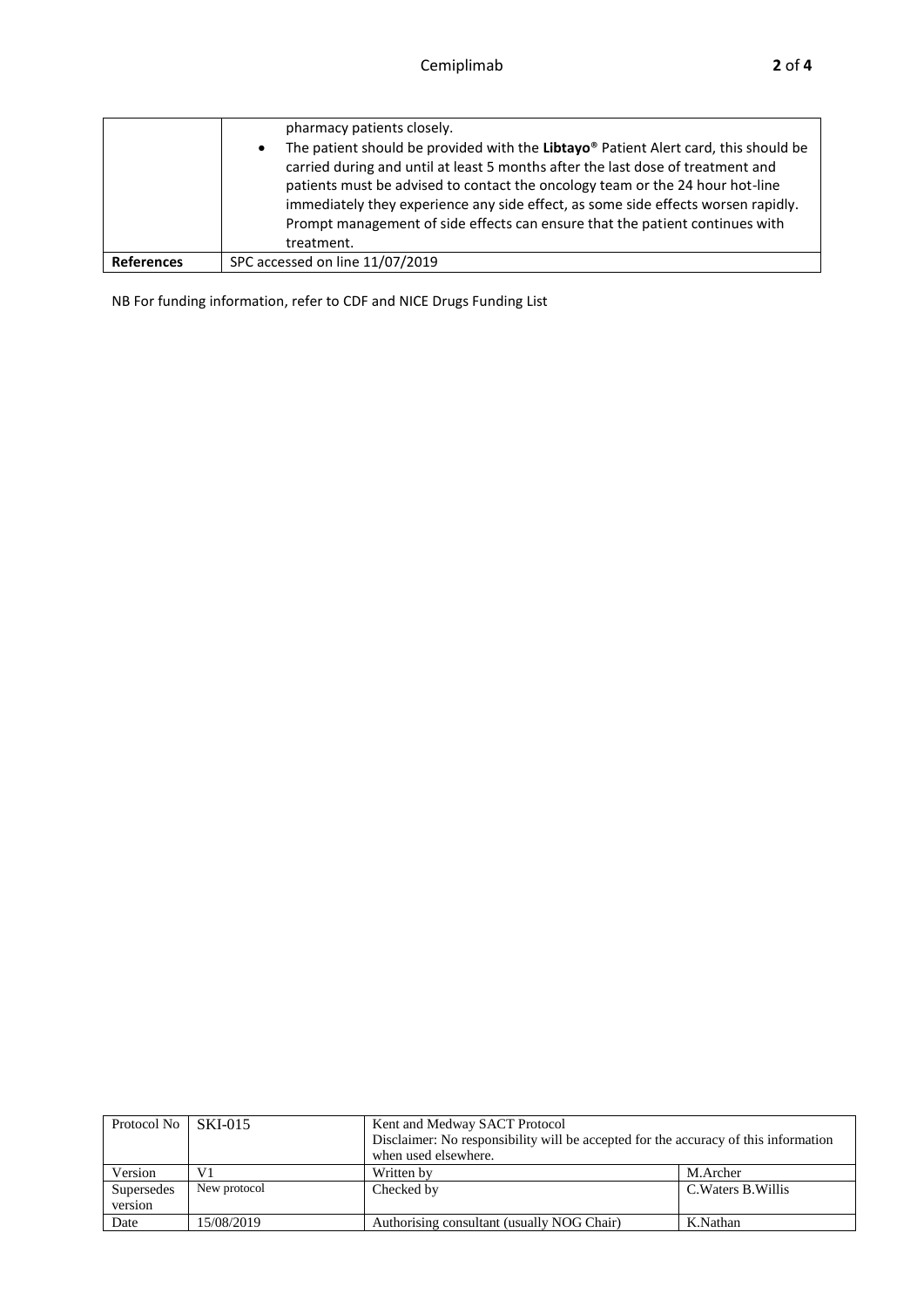|                   | pharmacy patients closely.                                                                                                                                                                                                                                                                                                                                                                                                                |
|-------------------|-------------------------------------------------------------------------------------------------------------------------------------------------------------------------------------------------------------------------------------------------------------------------------------------------------------------------------------------------------------------------------------------------------------------------------------------|
|                   | The patient should be provided with the Libtayo® Patient Alert card, this should be<br>$\bullet$<br>carried during and until at least 5 months after the last dose of treatment and<br>patients must be advised to contact the oncology team or the 24 hour hot-line<br>immediately they experience any side effect, as some side effects worsen rapidly.<br>Prompt management of side effects can ensure that the patient continues with |
|                   | treatment.                                                                                                                                                                                                                                                                                                                                                                                                                                |
| <b>References</b> | SPC accessed on line 11/07/2019                                                                                                                                                                                                                                                                                                                                                                                                           |

NB For funding information, refer to CDF and NICE Drugs Funding List

| Protocol No | SKI-015      | Kent and Medway SACT Protocol                                                       |                     |  |  |
|-------------|--------------|-------------------------------------------------------------------------------------|---------------------|--|--|
|             |              | Disclaimer: No responsibility will be accepted for the accuracy of this information |                     |  |  |
|             |              | when used elsewhere.                                                                |                     |  |  |
| Version     | V1           | M.Archer<br>Written by                                                              |                     |  |  |
| Supersedes  | New protocol | Checked by                                                                          | C. Waters B. Willis |  |  |
| version     |              |                                                                                     |                     |  |  |
| Date        | 15/08/2019   | Authorising consultant (usually NOG Chair)<br>K.Nathan                              |                     |  |  |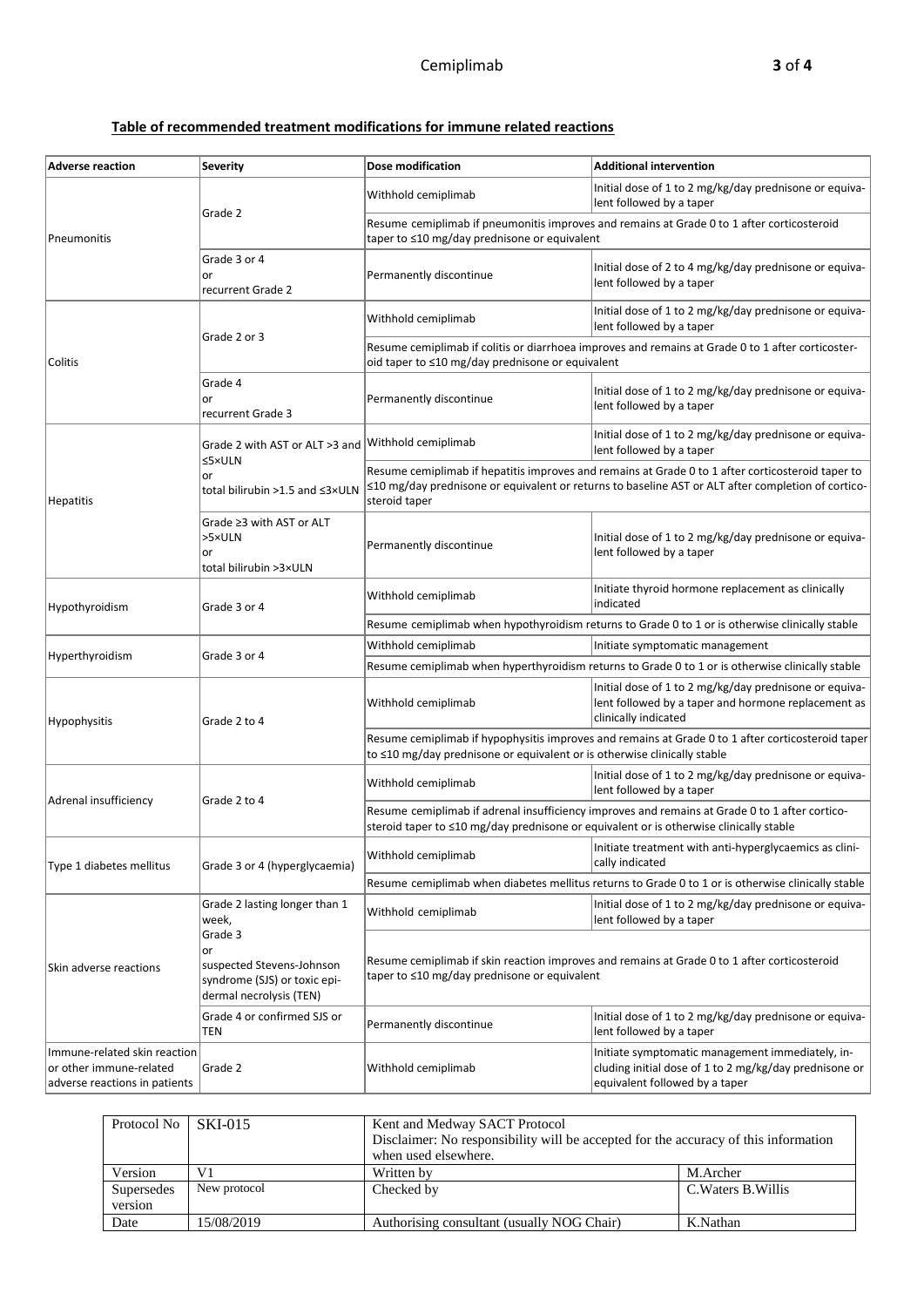## **Table of recommended treatment modifications for immune related reactions**

| <b>Adverse reaction</b>                                                                  | <b>Severity</b>                                                                                       | Dose modification                                                                                                                                                             | <b>Additional intervention</b>                                                                                                                                                                                |  |
|------------------------------------------------------------------------------------------|-------------------------------------------------------------------------------------------------------|-------------------------------------------------------------------------------------------------------------------------------------------------------------------------------|---------------------------------------------------------------------------------------------------------------------------------------------------------------------------------------------------------------|--|
|                                                                                          |                                                                                                       | Withhold cemiplimab                                                                                                                                                           | Initial dose of 1 to 2 mg/kg/day prednisone or equiva-<br>lent followed by a taper                                                                                                                            |  |
| Pneumonitis                                                                              | Grade 2                                                                                               | Resume cemiplimab if pneumonitis improves and remains at Grade 0 to 1 after corticosteroid<br>taper to ≤10 mg/day prednisone or equivalent                                    |                                                                                                                                                                                                               |  |
|                                                                                          | Grade 3 or 4<br>or<br>recurrent Grade 2                                                               | Permanently discontinue                                                                                                                                                       | Initial dose of 2 to 4 mg/kg/day prednisone or equiva-<br>lent followed by a taper                                                                                                                            |  |
|                                                                                          |                                                                                                       | Withhold cemiplimab                                                                                                                                                           | Initial dose of 1 to 2 mg/kg/day prednisone or equiva-<br>lent followed by a taper                                                                                                                            |  |
| Colitis                                                                                  | Grade 2 or 3                                                                                          | Resume cemiplimab if colitis or diarrhoea improves and remains at Grade 0 to 1 after corticoster-<br>oid taper to $\leq 10$ mg/day prednisone or equivalent                   |                                                                                                                                                                                                               |  |
|                                                                                          | Grade 4<br>or<br>recurrent Grade 3                                                                    | Permanently discontinue                                                                                                                                                       | Initial dose of 1 to 2 mg/kg/day prednisone or equiva-<br>lent followed by a taper                                                                                                                            |  |
|                                                                                          | Grade 2 with AST or ALT >3 and                                                                        | Withhold cemiplimab                                                                                                                                                           | Initial dose of 1 to 2 mg/kg/day prednisone or equiva-<br>lent followed by a taper                                                                                                                            |  |
| Hepatitis                                                                                | ≤5×ULN<br>or<br>total bilirubin >1.5 and ≤3×ULN                                                       | steroid taper                                                                                                                                                                 | Resume cemiplimab if hepatitis improves and remains at Grade 0 to 1 after corticosteroid taper to<br>$\leq$ 10 mg/day prednisone or equivalent or returns to baseline AST or ALT after completion of cortico- |  |
|                                                                                          | Grade ≥3 with AST or ALT<br>>5×ULN<br>or<br>total bilirubin >3×ULN                                    | Permanently discontinue                                                                                                                                                       | Initial dose of 1 to 2 mg/kg/day prednisone or equiva-<br>lent followed by a taper                                                                                                                            |  |
| Hypothyroidism                                                                           | Grade 3 or 4                                                                                          | Withhold cemiplimab                                                                                                                                                           | Initiate thyroid hormone replacement as clinically<br>indicated                                                                                                                                               |  |
|                                                                                          |                                                                                                       | Resume cemiplimab when hypothyroidism returns to Grade 0 to 1 or is otherwise clinically stable                                                                               |                                                                                                                                                                                                               |  |
| Hyperthyroidism                                                                          | Grade 3 or 4                                                                                          | Withhold cemiplimab                                                                                                                                                           | Initiate symptomatic management                                                                                                                                                                               |  |
|                                                                                          |                                                                                                       |                                                                                                                                                                               | Resume cemiplimab when hyperthyroidism returns to Grade 0 to 1 or is otherwise clinically stable                                                                                                              |  |
| Hypophysitis                                                                             | Grade 2 to 4                                                                                          | Withhold cemiplimab                                                                                                                                                           | Initial dose of 1 to 2 mg/kg/day prednisone or equiva-<br>lent followed by a taper and hormone replacement as<br>clinically indicated                                                                         |  |
|                                                                                          |                                                                                                       | Resume cemiplimab if hypophysitis improves and remains at Grade 0 to 1 after corticosteroid taper<br>to ≤10 mg/day prednisone or equivalent or is otherwise clinically stable |                                                                                                                                                                                                               |  |
| Adrenal insufficiency                                                                    | Grade 2 to 4                                                                                          | Withhold cemiplimab                                                                                                                                                           | Initial dose of 1 to 2 mg/kg/day prednisone or equiva-<br>lent followed by a taper                                                                                                                            |  |
|                                                                                          |                                                                                                       | steroid taper to ≤10 mg/day prednisone or equivalent or is otherwise clinically stable                                                                                        | Resume cemiplimab if adrenal insufficiency improves and remains at Grade 0 to 1 after cortico-                                                                                                                |  |
| Type 1 diabetes mellitus                                                                 | Grade 3 or 4 (hyperglycaemia)                                                                         | Withhold cemiplimab                                                                                                                                                           | Initiate treatment with anti-hyperglycaemics as clini-<br>cally indicated                                                                                                                                     |  |
|                                                                                          |                                                                                                       |                                                                                                                                                                               | Resume cemiplimab when diabetes mellitus returns to Grade 0 to 1 or is otherwise clinically stable                                                                                                            |  |
| Skin adverse reactions                                                                   | Grade 2 lasting longer than 1<br>week,                                                                | Withhold cemiplimab                                                                                                                                                           | Initial dose of 1 to 2 mg/kg/day prednisone or equiva-<br>lent followed by a taper                                                                                                                            |  |
|                                                                                          | Grade 3<br>or<br>suspected Stevens-Johnson<br>syndrome (SJS) or toxic epi-<br>dermal necrolysis (TEN) | Resume cemiplimab if skin reaction improves and remains at Grade 0 to 1 after corticosteroid<br>taper to ≤10 mg/day prednisone or equivalent                                  |                                                                                                                                                                                                               |  |
|                                                                                          | Grade 4 or confirmed SJS or<br>TEN                                                                    | Permanently discontinue                                                                                                                                                       | Initial dose of 1 to 2 mg/kg/day prednisone or equiva-<br>lent followed by a taper                                                                                                                            |  |
| Immune-related skin reaction<br>or other immune-related<br>adverse reactions in patients | Grade 2                                                                                               | Withhold cemiplimab                                                                                                                                                           | Initiate symptomatic management immediately, in-<br>cluding initial dose of 1 to 2 mg/kg/day prednisone or<br>equivalent followed by a taper                                                                  |  |

| Protocol No | <b>SKI-015</b> | Kent and Medway SACT Protocol<br>Disclaimer: No responsibility will be accepted for the accuracy of this information<br>when used elsewhere. |                     |  |  |  |
|-------------|----------------|----------------------------------------------------------------------------------------------------------------------------------------------|---------------------|--|--|--|
| Version     | V1             | Written by                                                                                                                                   | M.Archer            |  |  |  |
| Supersedes  | New protocol   | Checked by                                                                                                                                   | C. Waters B. Willis |  |  |  |
| version     |                |                                                                                                                                              |                     |  |  |  |
| Date        | 15/08/2019     | Authorising consultant (usually NOG Chair)                                                                                                   | K.Nathan            |  |  |  |